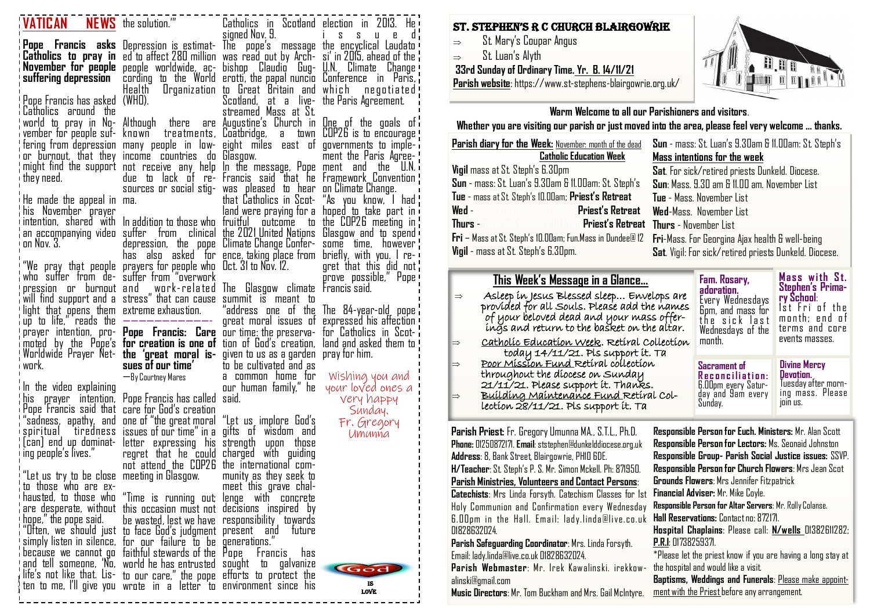| <b>VATICAN</b>                                                                                                                                                                                                    | <b>NEWS</b> the solution."                                                               | signed Nov. 9.                                 | Catholics in Scotland election in 2013. He i                                                                              | ST. STEPHEN'S R C CHURCH BLAIRGOWRIE                                                                                                             |  |
|-------------------------------------------------------------------------------------------------------------------------------------------------------------------------------------------------------------------|------------------------------------------------------------------------------------------|------------------------------------------------|---------------------------------------------------------------------------------------------------------------------------|--------------------------------------------------------------------------------------------------------------------------------------------------|--|
|                                                                                                                                                                                                                   |                                                                                          |                                                | S<br>$\mathbf{u}$ e<br>- 8<br><b>Pope Francis asks</b> Depression is estimat- The pope's message the encyclical Laudato ! | St. Mary's Coupar Angus<br>$\Rightarrow$                                                                                                         |  |
|                                                                                                                                                                                                                   |                                                                                          |                                                | <b>Catholics to pray in</b> ed to affect 280 million was read out by Arch- si' in 2015, ahead of the <b>f</b>             | St. Luan's Alyth<br>$\Rightarrow$                                                                                                                |  |
|                                                                                                                                                                                                                   |                                                                                          |                                                | <b>November for people</b> people worldwide ac- bishop Claudio Gug- U.N. Climate Change!                                  | <b>A</b><br>33rd Sunday of Ordinary Time. Yr. B. 14/11/21                                                                                        |  |
|                                                                                                                                                                                                                   |                                                                                          |                                                | , suffering depression cording to the World erotti, the papal nuncio Conference in Paris, !                               | <b>TITORIA</b><br>Parish website: https://www.st-stephens-blairgowrie.org.uk/                                                                    |  |
| ! Pope Francis has asked (WHO).                                                                                                                                                                                   | Health                                                                                   | Scotland, at a live- the Paris Agreement.      | Organization to Great Britain and which negotiated!                                                                       |                                                                                                                                                  |  |
| : Catholics around the                                                                                                                                                                                            |                                                                                          | streamed Mass at St.                           |                                                                                                                           | Warm Welcome to all our Parishioners and visitors.                                                                                               |  |
| world to pray in No- Although ) there ) are Augustine's Church in One of the goals of !                                                                                                                           |                                                                                          |                                                |                                                                                                                           | Whether you are visiting our parish or just moved into the area, please feel very welcome  thanks.                                               |  |
| ivember for people suf- known treatments, Coatbridge,                                                                                                                                                             |                                                                                          | $\mathbf{a}$                                   | town COP26 is to encourage !                                                                                              |                                                                                                                                                  |  |
|                                                                                                                                                                                                                   |                                                                                          |                                                | fering from depression many people in low- eight miles east of governments to imple-i                                     | Parish diary for the Week: November: month of the dead<br>Sun - mass: St. Luan's 9.30am & 11.00am: St. Steph's                                   |  |
| ior burnout, that they income countries do Glasgow.                                                                                                                                                               |                                                                                          |                                                | ment the Paris Agree-                                                                                                     | <b>Catholic Education Week</b><br>Mass intentions for the week                                                                                   |  |
| I might find the support not receive any help In the message. Pope ment and the                                                                                                                                   |                                                                                          |                                                | - U.N. i                                                                                                                  | Vigil mass at St. Steph's 6.30pm<br>Sat. For sick/retired priests Dunkeld. Diocese.                                                              |  |
| , they need.                                                                                                                                                                                                      |                                                                                          |                                                | due to lack of re- Francis said that he Framework Convention                                                              | Sun - mass: St. Luan's 9.30am & 11.00am: St. Steph's<br>Sun: Mass. 9.30 am & 11.00 am. November List                                             |  |
|                                                                                                                                                                                                                   | sources or social stig-                                                                  | was pleased to hear<br>that Catholics in Scot- | on Climate Change.                                                                                                        | Tue - mass at St. Steph's 10.00am; Priest's Retreat<br>Tue - Mass. November List                                                                 |  |
| the made the appeal in ma.<br>his November prayer!                                                                                                                                                                |                                                                                          |                                                | "As you know, I had<br>land were praying for a hoped to take part in                                                      | Wed -<br><b>Priest's Retreat</b><br>Wed-Mass. November List                                                                                      |  |
| intention, shared with Inadditiontothose who fruitful outcome to                                                                                                                                                  |                                                                                          |                                                | the COP26 meeting in                                                                                                      | <b>Priest's Retreat</b>                                                                                                                          |  |
|                                                                                                                                                                                                                   |                                                                                          |                                                | an accompanying video suffer (from )clinical the 2021_United Nations Glasgow and to spend)                                | Thurs -<br><b>Thurs</b> - November List                                                                                                          |  |
| <b>u</b> on Nov. 3.1                                                                                                                                                                                              |                                                                                          |                                                | depression, the pope Climate Change Confer-some time, however                                                             | Fri – Mass at St. Steph's 10.00am; Fun.Mass in Dundee@12<br><b>Fri</b> -Mass. For Georgina Ajax health & well-being                              |  |
|                                                                                                                                                                                                                   |                                                                                          |                                                | has also asked for ence taking place from briefly, with you. I re-                                                        | Vigil - mass at St. Steph's 6.30pm.<br>Sat. Vigil: For sick/retired priests Dunkeld. Diocese.                                                    |  |
| "We pray that people prayers for people who Oct. 31 to Nov. 12.                                                                                                                                                   |                                                                                          |                                                | gret that this did not!                                                                                                   |                                                                                                                                                  |  |
| who suffer from de- suffer from "overwork"                                                                                                                                                                        |                                                                                          |                                                | prove possible," Pope                                                                                                     | Mass with St.<br>This Week's Message in a Glance<br>Fam. Rosary,                                                                                 |  |
| pression or burnout and work-related The Glasgow climate Francis'said.                                                                                                                                            |                                                                                          |                                                |                                                                                                                           | Stephen's Prima-<br>adoration.<br>Asleep in Jesus Blessed sleep Envelops are<br>$\Rightarrow$                                                    |  |
| will find support and a stress" that can cause summit is meant to                                                                                                                                                 |                                                                                          |                                                |                                                                                                                           | ry School:<br>Every Wednesdays<br>provided for all Souls. Please add the names                                                                   |  |
| light that opens them extremeexhaustion.                                                                                                                                                                          |                                                                                          |                                                | "address one of the The 84-year-old pope"                                                                                 | Ist Fri of the<br>Gpm, and mass for<br>month; end of                                                                                             |  |
| iup to life," reads the —————————————                                                                                                                                                                             |                                                                                          | great moral issues of                          | expressed his affection!                                                                                                  | of your beloved dead and your mass offer-<br>ings and return to the basket on the altar.<br>the sick last<br>terms and core<br>Wednesdays of the |  |
| , prayer intention, pro- <b>Pope Francis: Care</b> our time: the preserva- for Catholics in Scot- <b>;</b><br>, imoted by the Pope's <b>for creation is one of</b> tion of God's creation, land and asked them to |                                                                                          |                                                |                                                                                                                           | events masses.<br>month.<br>Catholíc Education Week. Retiral Collection                                                                          |  |
|                                                                                                                                                                                                                   | Worldwide Prayer Net- <b>the 'great moral is-</b> given to us as a garden pray for him.  |                                                |                                                                                                                           | today 14/11/21. Pls support it. Ta                                                                                                               |  |
| i work.                                                                                                                                                                                                           | sues of our time'                                                                        | to be cultivated and as                        |                                                                                                                           | Poor Mission Fund Retiral collection<br><b>Divine Mercy</b><br>Sacrament of                                                                      |  |
|                                                                                                                                                                                                                   | —By Courtney Mares                                                                       | a common home for                              | Wishing you and                                                                                                           | throughout the diocese on Sunday<br>Devotion.<br>Reconciliation:                                                                                 |  |
| i In the video explaining                                                                                                                                                                                         |                                                                                          |                                                | $\frac{1}{2}$ our human family," he your loved ones a                                                                     | Tuesday after morn-<br>21/11/21. Please support it. Thanks.<br>6.00pm every Satur-                                                               |  |
| , his<br>prayer intention,                                                                                                                                                                                        | Pope Francis has called said.                                                            |                                                | very happy                                                                                                                | ing mass. Please<br>day and 9am every<br>Building Maintenance Fund Retiral Col-<br>Sunday.<br>join us.                                           |  |
| Pope Francis said that care for God's creation                                                                                                                                                                    |                                                                                          |                                                | Sunday.                                                                                                                   | lection 28/11/21. Pls support it. Ta                                                                                                             |  |
| , "sadness, apathy, and one of "the great moral "Let us implore God's                                                                                                                                             |                                                                                          |                                                | Fr. Gregory                                                                                                               |                                                                                                                                                  |  |
| ı spiritual                                                                                                                                                                                                       | tiredness issues of our time" in a gifts of wisdom and                                   |                                                | Umunna                                                                                                                    | Responsible Person for Euch. Ministers: Mr. Alan Scott<br>Parish Priest: Fr. Gregory Umunna MA., S.T.L., Ph.D.                                   |  |
|                                                                                                                                                                                                                   | (Can) end up dominat- letter expressing his strength upon those                          |                                                |                                                                                                                           | Phone: 01250872171. Email: ststephen@dunkelddiocese.org.uk<br>Responsible Person for Lectors: Ms. Seonaid Johnston                               |  |
| ' ing people's lives."                                                                                                                                                                                            | regret that he could charged with guiding<br>not attend the COP26 the international com- |                                                |                                                                                                                           | Responsible Group- Parish Social Justice issues: SSVP.<br>Address: 8, Bank Street, Blairgowrie, PHID GDE.                                        |  |
| ! "Let us try to be close meeting in Glasgow.                                                                                                                                                                     |                                                                                          | munity as they seek to                         |                                                                                                                           | H/Teacher: St. Steph's P. S. Mr. Simon Mckell. Ph: 871950.<br>Responsible Person for Church Flowers: Mrs Jean Scot                               |  |
| to those who are ex-                                                                                                                                                                                              |                                                                                          | meet this grave chal-                          |                                                                                                                           | <b>Grounds Flowers: Mrs Jennifer Fitzpatrick</b><br>Parish Ministries, Volunteers and Contact Persons:                                           |  |
|                                                                                                                                                                                                                   | thausted, to those who "Time is running out; lenge with concrete!"                       |                                                |                                                                                                                           | <b>Financial Adviser:</b> Mr. Mike Coyle.<br><b>Catechists:</b> Mrs Linda Forsyth. Catechism Classes for 1st                                     |  |
| , are desperate, without this occasion must not decisions inspired by                                                                                                                                             |                                                                                          |                                                |                                                                                                                           | Responsible Person for Altar Servers: Mr. Rolly Colanse.<br>Holy Communion and Confirmation every Wednesday                                      |  |
| , hope," the pope said.                                                                                                                                                                                           | be wasted, lest we have responsibility towards                                           |                                                |                                                                                                                           | Hall Reservations: Contact no: 872171.<br>6.00pm in the Hall. Email: lady.linda@live.co.uk                                                       |  |
| , "Often, we should just to face God's judgment present and future                                                                                                                                                |                                                                                          |                                                |                                                                                                                           | Hospital Chaplains: Please call: N/wells 01382611282;<br>01828632024.                                                                            |  |
| simply listen in silence, for our failure to be generations.                                                                                                                                                      |                                                                                          |                                                |                                                                                                                           | <b>P.R.I: 01738259371.</b><br>Parish Safeguarding Coordinator: Mrs. Linda Forsyth.                                                               |  |
| because we cannot go faithful stewards of the Pope Francis                                                                                                                                                        |                                                                                          | has                                            |                                                                                                                           | *Please let the priest know if you are having a long stay at<br>Email: lady.linda@live.co.uk 01828632024.                                        |  |
| 'and tell someone, 'No, world he has entrusted  sought   to   galvanize                                                                                                                                           |                                                                                          |                                                | God                                                                                                                       | the hospital and would like a visit.<br>Parish Webmaster: Mr. Irek Kawalinski. irekkow-                                                          |  |
| ilife's not like that. Lis- to our care," the pope efforts to protect the $\overline{\phantom{a}}$                                                                                                                |                                                                                          |                                                | 1S                                                                                                                        | Baptisms, Weddings and Funerals: Please make appoint-<br>alinski@gmail.com                                                                       |  |
|                                                                                                                                                                                                                   | ten to me, I'll give you wrote in a letter to environment since his !                    |                                                | LOVE                                                                                                                      | ment with the Priest before any arrangement.<br>Music Directors: Mr. Tom Buckham and Mrs. Gail McIntyre.                                         |  |
|                                                                                                                                                                                                                   |                                                                                          |                                                |                                                                                                                           |                                                                                                                                                  |  |

| on Week        | Mass intentions for the week                            |  |  |  |  |
|----------------|---------------------------------------------------------|--|--|--|--|
|                | Sat. For sick/retired priests Dunkeld. Diocese.         |  |  |  |  |
| 1: St. Steph's | Sun: Mass. 9.30 am & 11.00 am. November List            |  |  |  |  |
| s Retreat      | <b>Tue</b> - Mass. November List                        |  |  |  |  |
| st's Retreat   | <b>Wed-Mass. November List</b>                          |  |  |  |  |
| est's Retreat  | <b>Thurs</b> - November List                            |  |  |  |  |
| in Dundee@12   | <b>Fri</b> -Mass. For Georgina Ajax health & well-being |  |  |  |  |
|                | Sat. Vigil: For sick/retired priests Dunkeld. Diocese.  |  |  |  |  |
|                |                                                         |  |  |  |  |

| $\Rightarrow$ | This Week's Message in a Glance<br>Asleep in Jesus Blessed sleep Envelops are<br>provided for all Souls. Please add the names<br>of your beloved dead and your mass offer-<br>ings and return to the basket on the altar.<br>Catholic Education Week. Retiral Collection | Fam. Rosary,<br>adoration.<br>Every Wednesdays<br>Gpm, and mass for<br>the sick last<br>Wednesdays of the<br>manth. | Mass with St.<br><b>Stephen's Prima-</b><br>ry School:<br>Ist Fri of the<br>month; end of<br>terms and core<br>events masses. |
|---------------|--------------------------------------------------------------------------------------------------------------------------------------------------------------------------------------------------------------------------------------------------------------------------|---------------------------------------------------------------------------------------------------------------------|-------------------------------------------------------------------------------------------------------------------------------|
|               | today 14/11/21. Pls support it. Ta<br><u>Poor Mission Fund Reti</u> ral collection<br>throughout the diocese on Sunday<br>21/11/21. Please support ít. Thanks.<br><u>Buíldíng Maíntenance Fund </u> Retíral Col-<br>lection 28/11/21. Pls support it. Ta                 | Sacrament of<br>Reconciliation:<br>6.00pm every Satur-<br>day and 9am every<br>Sunday.                              | <b>Divine Mercy</b><br>Devotion.<br>Tuesday after_morn-<br>ing mass. Please<br>join us.                                       |